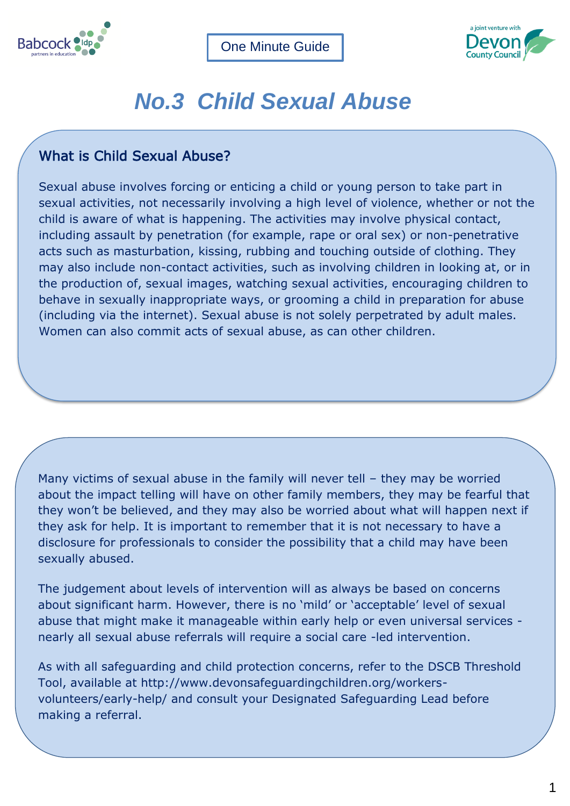



## *No.3 Child Sexual Abuse*

## What is Child Sexual Abuse?

Sexual abuse involves forcing or enticing a child or young person to take part in sexual activities, not necessarily involving a high level of violence, whether or not the child is aware of what is happening. The activities may involve physical contact, including assault by penetration (for example, rape or oral sex) or non-penetrative acts such as masturbation, kissing, rubbing and touching outside of clothing. They may also include non-contact activities, such as involving children in looking at, or in the production of, sexual images, watching sexual activities, encouraging children to behave in sexually inappropriate ways, or grooming a child in preparation for abuse (including via the internet). Sexual abuse is not solely perpetrated by adult males. Women can also commit acts of sexual abuse, as can other children.

Many victims of sexual abuse in the family will never tell – they may be worried about the impact telling will have on other family members, they may be fearful that they won't be believed, and they may also be worried about what will happen next if they ask for help. It is important to remember that it is not necessary to have a disclosure for professionals to consider the possibility that a child may have been sexually abused.

The judgement about levels of intervention will as always be based on concerns about significant harm. However, there is no 'mild' or 'acceptable' level of sexual abuse that might make it manageable within early help or even universal services nearly all sexual abuse referrals will require a social care -led intervention.

As with all safeguarding and child protection concerns, refer to the DSCB Threshold Tool, available at [http://www.devonsafeguardingchildren.org/workers](http://www.devonsafeguardingchildren.org/workers-volunteers/early-help/)[volunteers/early-help/](http://www.devonsafeguardingchildren.org/workers-volunteers/early-help/) and consult your Designated Safeguarding Lead before making a referral.